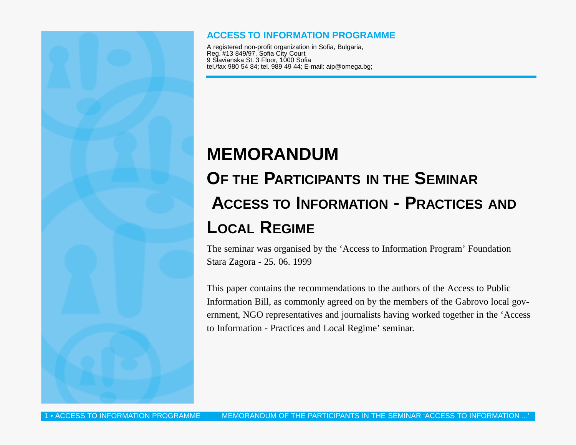#### **ACCESS TO INFORMATION PROGRAMME**

A registered non-profit organization in Sofia, Bulgaria, Reg. #13 849/97, Sofia City Court 9 Slavianska St. 3 Floor, 1000 Sofia tel./fax 980 54 84; tel. 989 49 44; E-mail: aip@omega.bg;

# **MEMORANDUM OF THE PARTICIPANTS IN THE SEMINAR ACCESS TO INFORMATION - PRACTICES AND LOCAL REGIME**

The seminar was organised by the 'Access to Information Program' Foundation Stara Zagora - 25. 06. 1999

This paper contains the recommendations to the authors of the Access to Public Information Bill, as commonly agreed on by the members of the Gabrovo local government, NGO representatives and journalists having worked together in the 'Access to Information - Practices and Local Regime' seminar.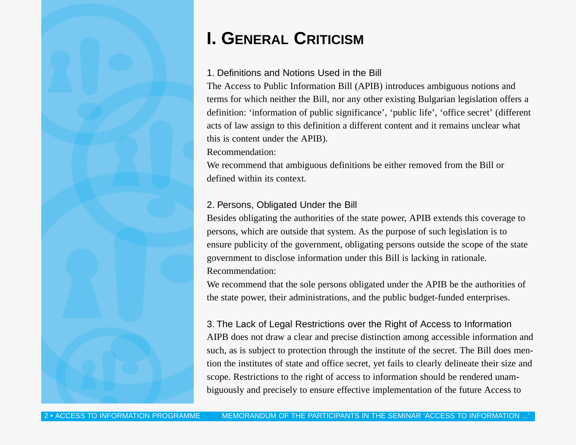# **I. GENERAL CRITICISM**

### 1. Definitions and Notions Used in the Bill

The Access to Public Information Bill (APIB) introduces ambiguous notions and terms for which neither the Bill, nor any other existing Bulgarian legislation offers a definition: 'information of public significance', 'public life', 'office secret' (different acts of law assign to this definition a different content and it remains unclear what this is content under the APIB).

Recommendation:

We recommend that ambiguous definitions be either removed from the Bill or defined within its context.

## 2. Persons, Obligated Under the Bill

Besides obligating the authorities of the state power, APIB extends this coverage to persons, which are outside that system. As the purpose of such legislation is to ensure publicity of the government, obligating persons outside the scope of the state government to disclose information under this Bill is lacking in rationale. Recommendation:

We recommend that the sole persons obligated under the APIB be the authorities of the state power, their administrations, and the public budget-funded enterprises.

3. The Lack of Legal Restrictions over the Right of Access to Information AIPB does not draw a clear and precise distinction among accessible information and such, as is subject to protection through the institute of the secret. The Bill does mention the institutes of state and office secret, yet fails to clearly delineate their size and scope. Restrictions to the right of access to information should be rendered unambiguously and precisely to ensure effective implementation of the future Access to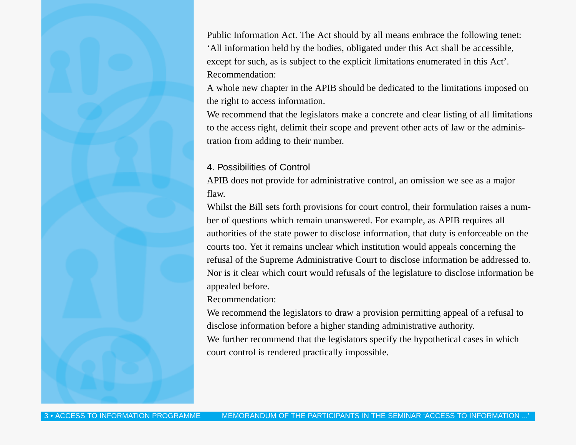Public Information Act. The Act should by all means embrace the following tenet: 'All information held by the bodies, obligated under this Act shall be accessible, except for such, as is subject to the explicit limitations enumerated in this Act'. Recommendation:

A whole new chapter in the APIB should be dedicated to the limitations imposed on the right to access information.

We recommend that the legislators make a concrete and clear listing of all limitations to the access right, delimit their scope and prevent other acts of law or the administration from adding to their number.

#### 4. Possibilities of Control

APIB does not provide for administrative control, an omission we see as a major flaw.

Whilst the Bill sets forth provisions for court control, their formulation raises a number of questions which remain unanswered. For example, as APIB requires all authorities of the state power to disclose information, that duty is enforceable on the courts too. Yet it remains unclear which institution would appeals concerning the refusal of the Supreme Administrative Court to disclose information be addressed to. Nor is it clear which court would refusals of the legislature to disclose information be appealed before.

Recommendation:

We recommend the legislators to draw a provision permitting appeal of a refusal to disclose information before a higher standing administrative authority. We further recommend that the legislators specify the hypothetical cases in which court control is rendered practically impossible.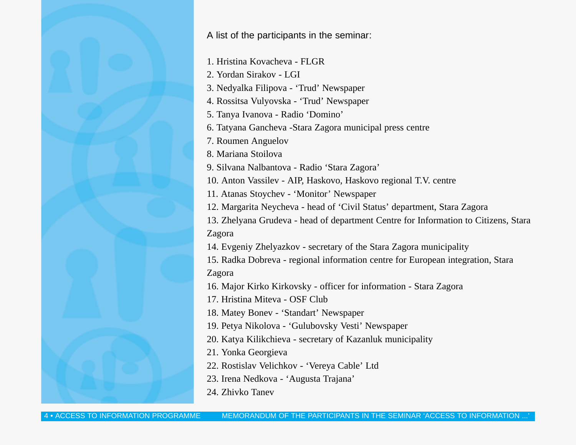A list of the participants in the seminar:

1. Hristina Kovacheva - FLGR

2. Yordan Sirakov - LGI

3. Nedyalka Filipova - 'Trud' Newspaper

4. Rossitsa Vulyovska - 'Trud' Newspaper

5. Tanya Ivanova - Radio 'Domino'

6. Tatyana Gancheva -Stara Zagora municipal press centre

7. Roumen Anguelov

8. Mariana Stoilova

9. Silvana Nalbantova - Radio 'Stara Zagora'

10. Anton Vassilev - AIP, Haskovo, Haskovo regional T.V. centre

11. Atanas Stoychev - 'Monitor' Newspaper

12. Margarita Neycheva - head of 'Civil Status' department, Stara Zagora

13. Zhelyana Grudeva - head of department Centre for Information to Citizens, Stara Zagora

14. Evgeniy Zhelyazkov - secretary of the Stara Zagora municipality

15. Radka Dobreva - regional information centre for European integration, Stara Zagora

16. Major Kirko Kirkovsky - officer for information - Stara Zagora

17. Hristina Miteva - OSF Club

18. Matey Bonev - 'Standart' Newspaper

19. Petya Nikolova - 'Gulubovsky Vesti' Newspaper

20. Katya Kilikchieva - secretary of Kazanluk municipality

21. Yonka Georgieva

22. Rostislav Velichkov - 'Vereya Cable' Ltd

23. Irena Nedkova - 'Augusta Trajana'

24. Zhivko Tanev